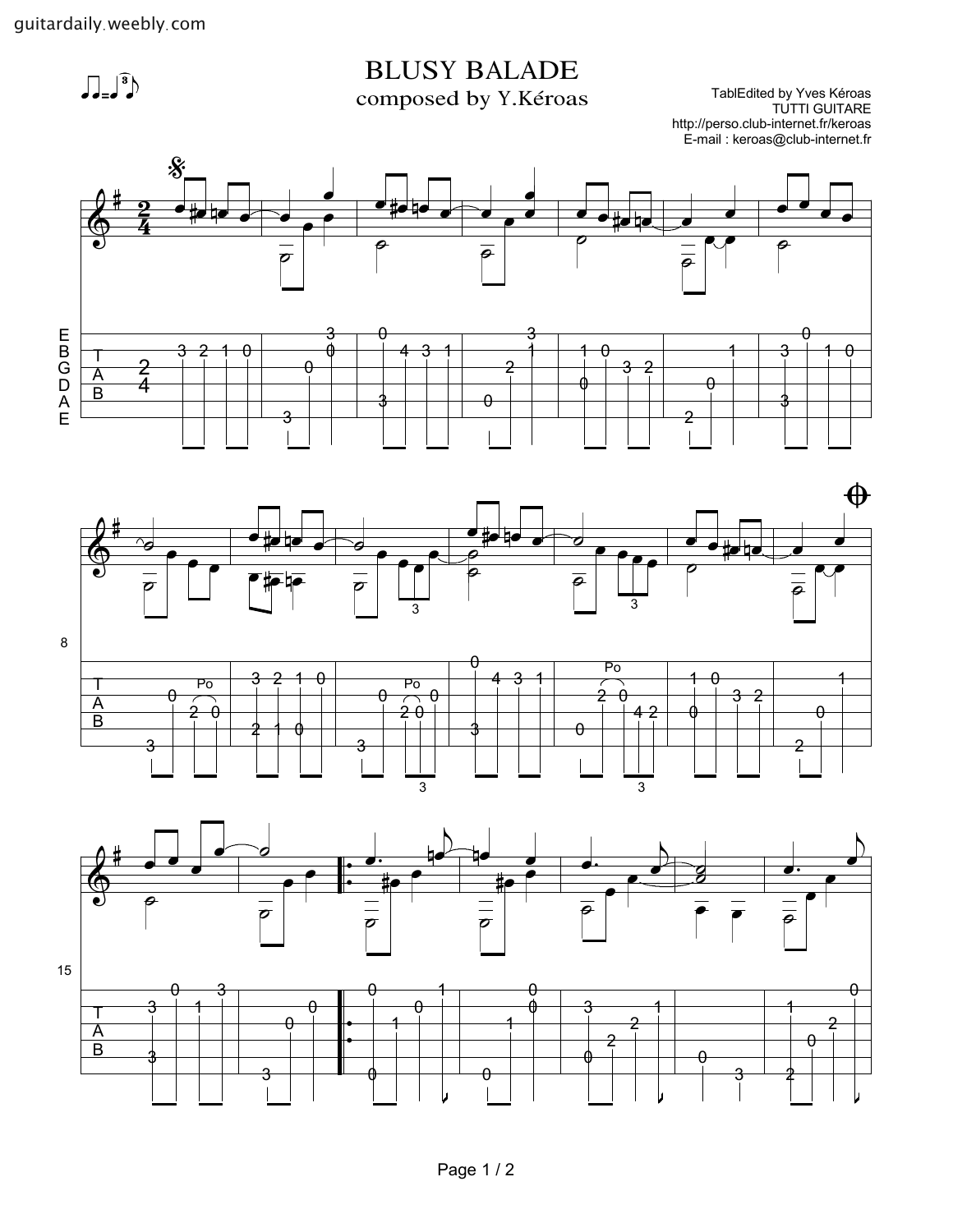$\int_{-\infty}^{\infty}$ 

## $\text{BLUSY BALADE}$ <br>
composed by Y.Kéroas TablEdited by Yves Kéroas<br>
TUTTI GUITARE

TablEdited by Yves Kéroas<br>TUTTI GUITARE http://perso.club-internet.fr/keroas E-mail : keroas@club-internet.fr